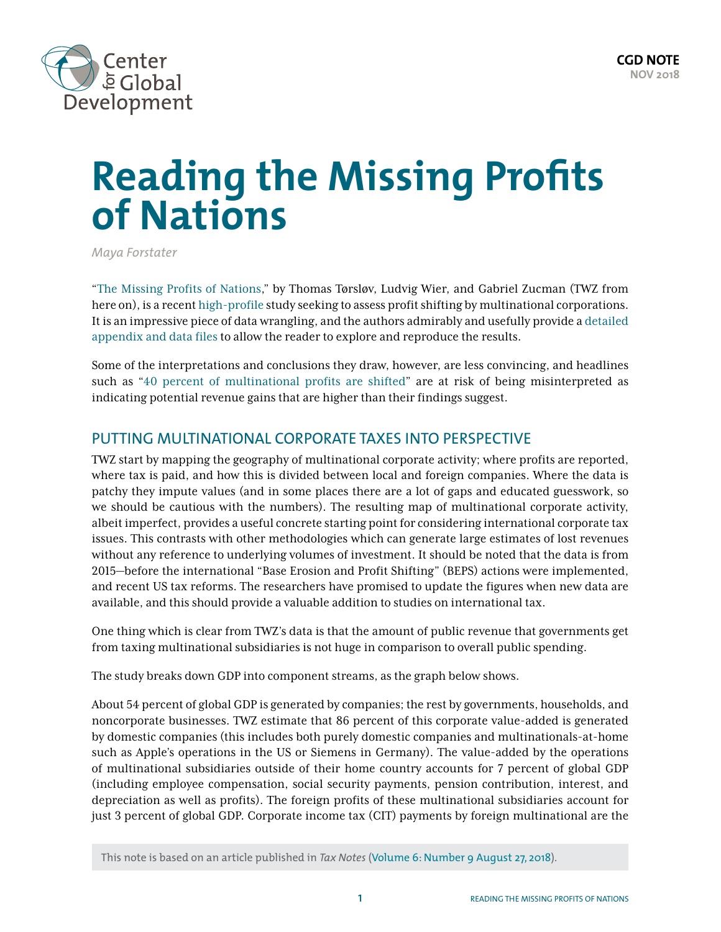

# **Reading the Missing Profits of Nations**

*Maya Forstater*

"[The Missing Profits of Nations,](http://gabriel-zucman.eu/files/TWZ2018.pdf)" by Thomas Tørsløv, Ludvig Wier, and Gabriel Zucman (TWZ from here on), is a recent [high-profile](https://www.nytimes.com/interactive/2017/11/10/opinion/gabriel-zucman-paradise-papers-tax-evasion.html) study seeking to assess profit shifting by multinational corporations. It is an impressive piece of data wrangling, and the authors admirably and usefully provide a [detailed](http://gabriel-zucman.eu/files/TWZ2018.pdf)  [appendix and data files](http://gabriel-zucman.eu/files/TWZ2018.pdf) to allow the reader to explore and reproduce the results.

Some of the interpretations and conclusions they draw, however, are less convincing, and headlines such as "[40 percent of multinational profits are shifted"](https://voxeu.org/article/missing-profits-nations) are at risk of being misinterpreted as indicating potential revenue gains that are higher than their findings suggest.

## PUTTING MULTINATIONAL CORPORATE TAXES INTO PERSPECTIVE

TWZ start by mapping the geography of multinational corporate activity; where profits are reported, where tax is paid, and how this is divided between local and foreign companies. Where the data is patchy they impute values (and in some places there are a lot of gaps and educated guesswork, so we should be cautious with the numbers). The resulting map of multinational corporate activity, albeit imperfect, provides a useful concrete starting point for considering international corporate tax issues. This contrasts with other methodologies which can generate large estimates of lost revenues without any reference to underlying volumes of investment. It should be noted that the data is from 2015—before the international "Base Erosion and Profit Shifting" (BEPS) actions were implemented, and recent US tax reforms. The researchers have promised to update the figures when new data are available, and this should provide a valuable addition to studies on international tax.

One thing which is clear from TWZ's data is that the amount of public revenue that governments get from taxing multinational subsidiaries is not huge in comparison to overall public spending.

The study breaks down GDP into component streams, as the graph below shows.

About 54 percent of global GDP is generated by companies; the rest by governments, households, and noncorporate businesses. TWZ estimate that 86 percent of this corporate value-added is generated by domestic companies (this includes both purely domestic companies and multinationals-at-home such as Apple's operations in the US or Siemens in Germany). The value-added by the operations of multinational subsidiaries outside of their home country accounts for 7 percent of global GDP (including employee compensation, social security payments, pension contribution, interest, and depreciation as well as profits). The foreign profits of these multinational subsidiaries account for just 3 percent of global GDP. Corporate income tax (CIT) payments by foreign multinational are the

This note is based on an article published in *Tax Notes* ([Volume 6: Number 9 August 27, 2018](https://hiyamaya.files.wordpress.com/2018/10/2018tn1259-forstater-2.pdf)).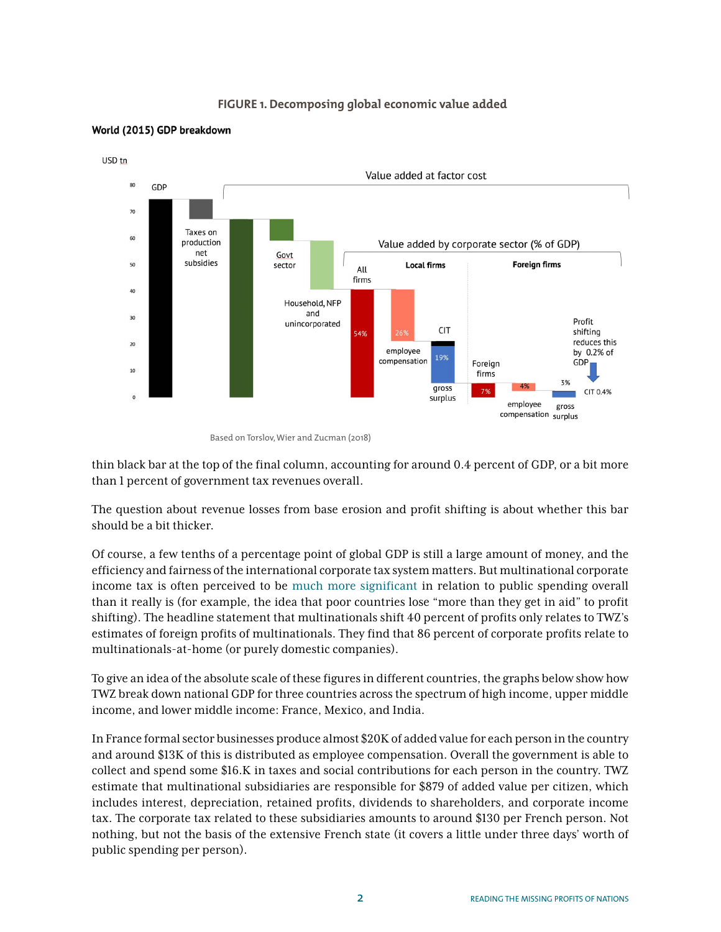### **FIGURE 1. Decomposing global economic value added**



#### World (2015) GDP breakdown

thin black bar at the top of the final column, accounting for around 0.4 percent of GDP, or a bit more than 1 percent of government tax revenues overall.

The question about revenue losses from base erosion and profit shifting is about whether this bar should be a bit thicker.

Of course, a few tenths of a percentage point of global GDP is still a large amount of money, and the efficiency and fairness of the international corporate tax system matters. But multinational corporate income tax is often perceived to be [much more significant](https://www.cgdev.org/publication/can-stopping-tax-dodging-multinational-enterprises-close-gap-development-finance) in relation to public spending overall than it really is (for example, the idea that poor countries lose "more than they get in aid" to profit shifting). The headline statement that multinationals shift 40 percent of profits only relates to TWZ's estimates of foreign profits of multinationals. They find that 86 percent of corporate profits relate to multinationals-at-home (or purely domestic companies).

To give an idea of the absolute scale of these figures in different countries, the graphs below show how TWZ break down national GDP for three countries across the spectrum of high income, upper middle income, and lower middle income: France, Mexico, and India.

In France formal sector businesses produce almost \$20K of added value for each person in the country and around \$13K of this is distributed as employee compensation. Overall the government is able to collect and spend some \$16.K in taxes and social contributions for each person in the country. TWZ estimate that multinational subsidiaries are responsible for \$879 of added value per citizen, which includes interest, depreciation, retained profits, dividends to shareholders, and corporate income tax. The corporate tax related to these subsidiaries amounts to around \$130 per French person. Not nothing, but not the basis of the extensive French state (it covers a little under three days' worth of public spending per person).

Based on Torslov, Wier and Zucman (2018)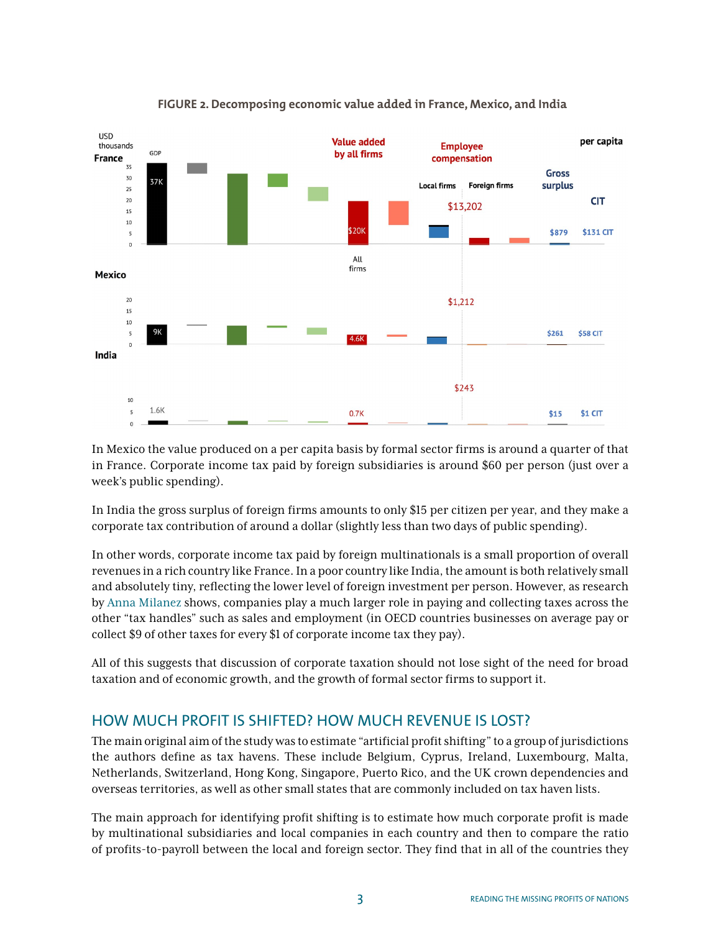

### **FIGURE 2. Decomposing economic value added in France, Mexico, and India**

In Mexico the value produced on a per capita basis by formal sector firms is around a quarter of that in France. Corporate income tax paid by foreign subsidiaries is around \$60 per person (just over a week's public spending).

In India the gross surplus of foreign firms amounts to only \$15 per citizen per year, and they make a corporate tax contribution of around a dollar (slightly less than two days of public spending).

In other words, corporate income tax paid by foreign multinationals is a small proportion of overall revenues in a rich country like France. In a poor country like India, the amount is both relatively small and absolutely tiny, reflecting the lower level of foreign investment per person. However, as research by [Anna Milanez](https://www.oecd-ilibrary.org/taxation/legal-tax-liability-legal-remittance-responsibility-and-tax-incidence_e7ced3ea-en) shows, companies play a much larger role in paying and collecting taxes across the other "tax handles" such as sales and employment (in OECD countries businesses on average pay or collect \$9 of other taxes for every \$1 of corporate income tax they pay).

All of this suggests that discussion of corporate taxation should not lose sight of the need for broad taxation and of economic growth, and the growth of formal sector firms to support it.

## HOW MUCH PROFIT IS SHIFTED? HOW MUCH REVENUE IS LOST?

The main original aim of the study was to estimate "artificial profit shifting" to a group of jurisdictions the authors define as tax havens. These include Belgium, Cyprus, Ireland, Luxembourg, Malta, Netherlands, Switzerland, Hong Kong, Singapore, Puerto Rico, and the UK crown dependencies and overseas territories, as well as other small states that are commonly included on tax haven lists.

The main approach for identifying profit shifting is to estimate how much corporate profit is made by multinational subsidiaries and local companies in each country and then to compare the ratio of profits-to-payroll between the local and foreign sector. They find that in all of the countries they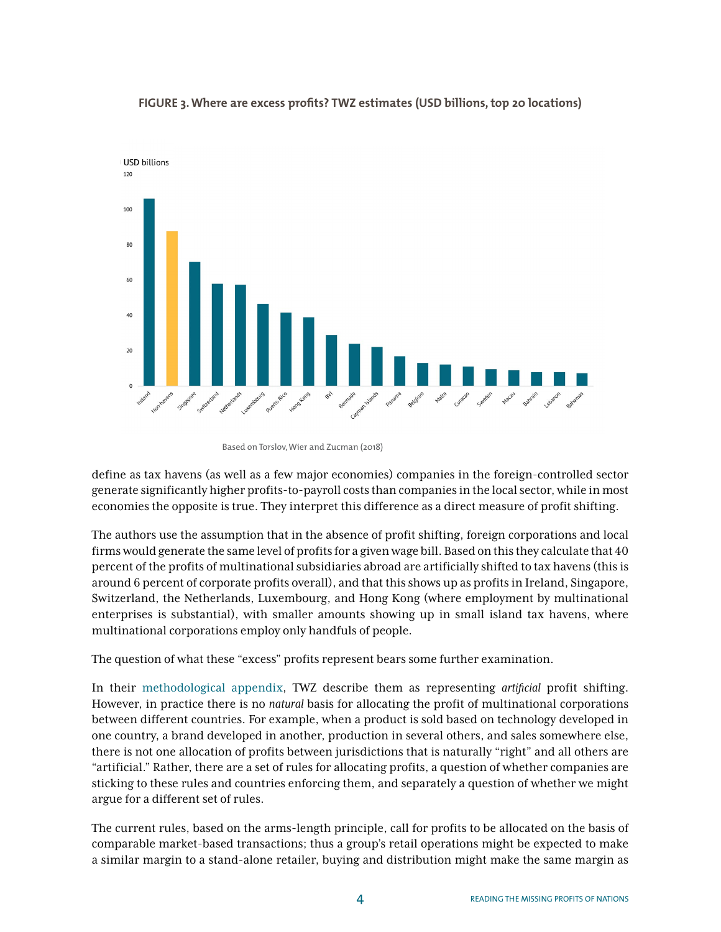

#### **FIGURE 3. Where are excess profits? TWZ estimates (USD billions, top 20 locations)**

define as tax havens (as well as a few major economies) companies in the foreign-controlled sector generate significantly higher profits-to-payroll costs than companies in the local sector, while in most economies the opposite is true. They interpret this difference as a direct measure of profit shifting.

The authors use the assumption that in the absence of profit shifting, foreign corporations and local firms would generate the same level of profits for a given wage bill. Based on this they calculate that 40 percent of the profits of multinational subsidiaries abroad are artificially shifted to tax havens (this is around 6 percent of corporate profits overall), and that this shows up as profits in Ireland, Singapore, Switzerland, the Netherlands, Luxembourg, and Hong Kong (where employment by multinational enterprises is substantial), with smaller amounts showing up in small island tax havens, where multinational corporations employ only handfuls of people.

The question of what these "excess" profits represent bears some further examination.

In their [methodological appendix](http://gabriel-zucman.eu/files/TWZ2018Appendix.pdf), TWZ describe them as representing *artificial* profit shifting. However, in practice there is no *natural* basis for allocating the profit of multinational corporations between different countries. For example, when a product is sold based on technology developed in one country, a brand developed in another, production in several others, and sales somewhere else, there is not one allocation of profits between jurisdictions that is naturally "right" and all others are "artificial." Rather, there are a set of rules for allocating profits, a question of whether companies are sticking to these rules and countries enforcing them, and separately a question of whether we might argue for a different set of rules.

The current rules, based on the arms-length principle, call for profits to be allocated on the basis of comparable market-based transactions; thus a group's retail operations might be expected to make a similar margin to a stand-alone retailer, buying and distribution might make the same margin as

Based on Torslov, Wier and Zucman (2018)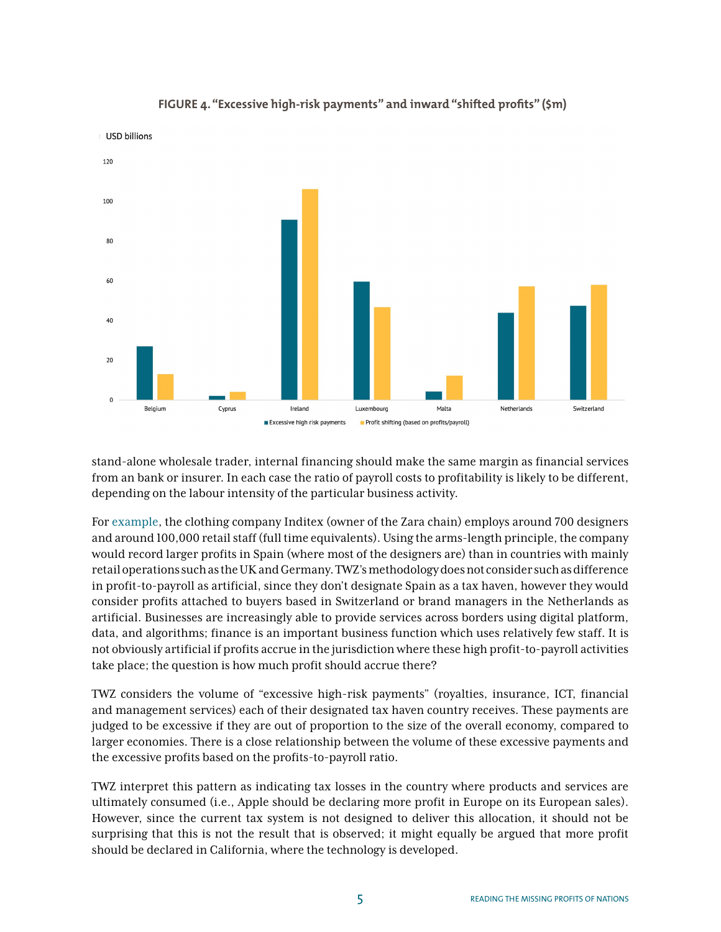

## **FIGURE 4. "Excessive high-risk payments" and inward "shifted profits" (\$m)**

stand-alone wholesale trader, internal financing should make the same margin as financial services from an bank or insurer. In each case the ratio of payroll costs to profitability is likely to be different, depending on the labour intensity of the particular business activity.

For [example,](https://hiyamaya.wordpress.com/2017/04/13/the-zara-report-what-can-we-learn-about-public-country-by-country-reporting/) the clothing company Inditex (owner of the Zara chain) employs around 700 designers and around 100,000 retail staff (full time equivalents). Using the arms-length principle, the company would record larger profits in Spain (where most of the designers are) than in countries with mainly retail operations such as the UK and Germany. TWZ's methodology does not consider such as difference in profit-to-payroll as artificial, since they don't designate Spain as a tax haven, however they would consider profits attached to buyers based in Switzerland or brand managers in the Netherlands as artificial. Businesses are increasingly able to provide services across borders using digital platform, data, and algorithms; finance is an important business function which uses relatively few staff. It is not obviously artificial if profits accrue in the jurisdiction where these high profit-to-payroll activities take place; the question is how much profit should accrue there?

TWZ considers the volume of "excessive high-risk payments" (royalties, insurance, ICT, financial and management services) each of their designated tax haven country receives. These payments are judged to be excessive if they are out of proportion to the size of the overall economy, compared to larger economies. There is a close relationship between the volume of these excessive payments and the excessive profits based on the profits-to-payroll ratio.

TWZ interpret this pattern as indicating tax losses in the country where products and services are ultimately consumed (i.e., Apple should be declaring more profit in Europe on its European sales). However, since the current tax system is not designed to deliver this allocation, it should not be surprising that this is not the result that is observed; it might equally be argued that more profit should be declared in California, where the technology is developed.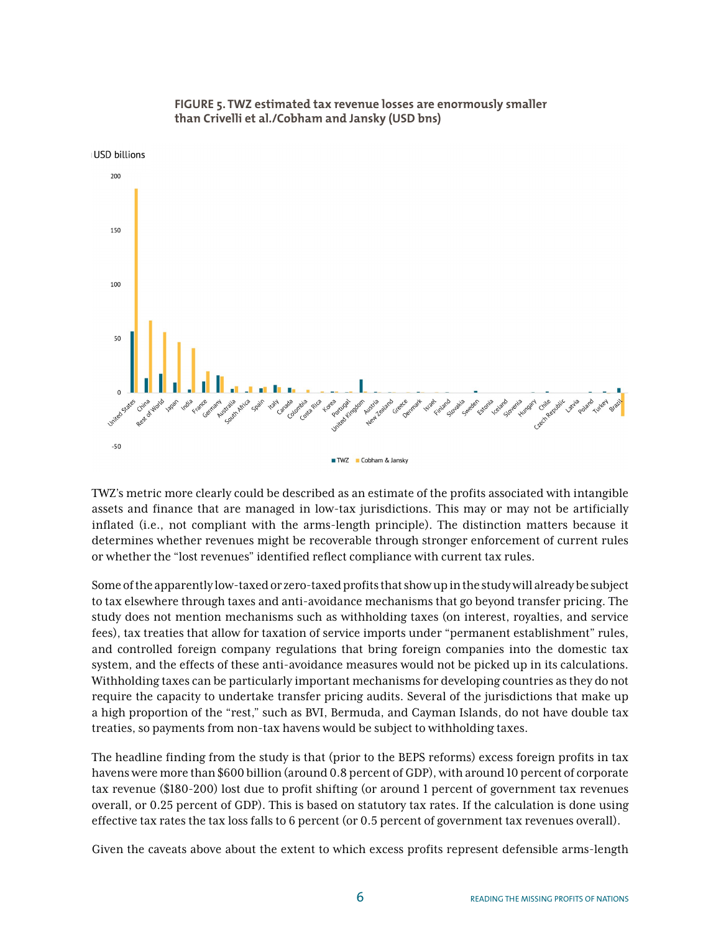



TWZ's metric more clearly could be described as an estimate of the profits associated with intangible assets and finance that are managed in low-tax jurisdictions. This may or may not be artificially inflated (i.e., not compliant with the arms-length principle). The distinction matters because it determines whether revenues might be recoverable through stronger enforcement of current rules or whether the "lost revenues" identified reflect compliance with current tax rules.

Some of the apparently low-taxed or zero-taxed profits that show up in the study will already be subject to tax elsewhere through taxes and anti-avoidance mechanisms that go beyond transfer pricing. The study does not mention mechanisms such as withholding taxes (on interest, royalties, and service fees), tax treaties that allow for taxation of service imports under "permanent establishment" rules, and controlled foreign company regulations that bring foreign companies into the domestic tax system, and the effects of these anti-avoidance measures would not be picked up in its calculations. Withholding taxes can be particularly important mechanisms for developing countries as they do not require the capacity to undertake transfer pricing audits. Several of the jurisdictions that make up a high proportion of the "rest," such as BVI, Bermuda, and Cayman Islands, do not have double tax treaties, so payments from non-tax havens would be subject to withholding taxes.

The headline finding from the study is that (prior to the BEPS reforms) excess foreign profits in tax havens were more than \$600 billion (around 0.8 percent of GDP), with around 10 percent of corporate tax revenue (\$180-200) lost due to profit shifting (or around 1 percent of government tax revenues overall, or 0.25 percent of GDP). This is based on statutory tax rates. If the calculation is done using effective tax rates the tax loss falls to 6 percent (or 0.5 percent of government tax revenues overall).

Given the caveats above about the extent to which excess profits represent defensible arms-length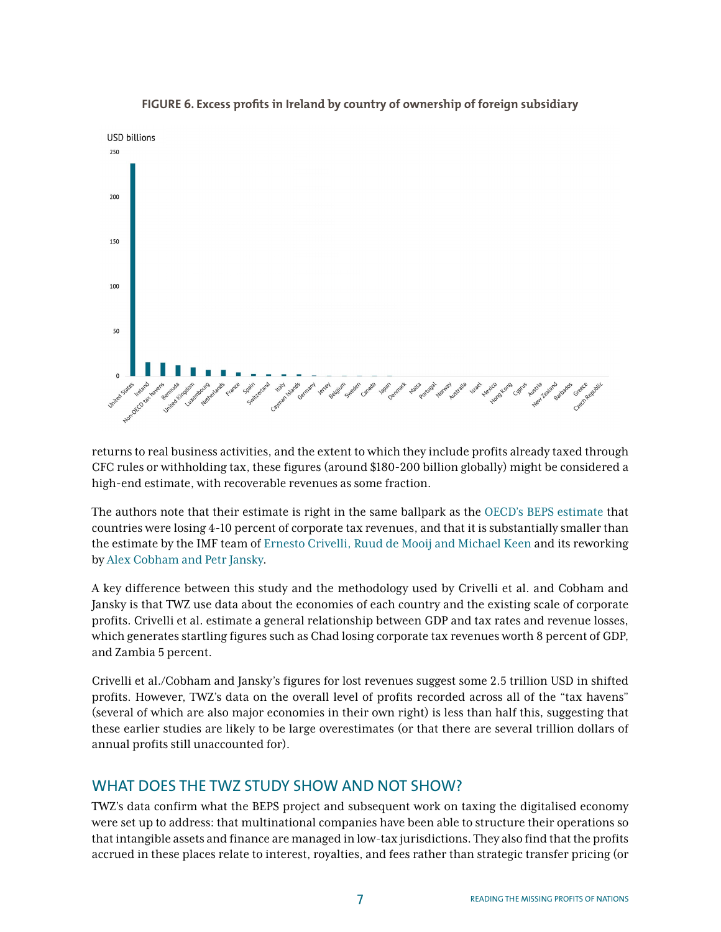

### **FIGURE 6. Excess profits in Ireland by country of ownership of foreign subsidiary**

returns to real business activities, and the extent to which they include profits already taxed through CFC rules or withholding tax, these figures (around \$180-200 billion globally) might be considered a high-end estimate, with recoverable revenues as some fraction.

The authors note that their estimate is right in the same ballpark as the [OECD's BEPS estimate](https://www.oecd.org/eco/Tax-planning-by-multinational-firms-firm-level-evidence-from-a-cross-country-database.pdf) that countries were losing 4-10 percent of corporate tax revenues, and that it is substantially smaller than the estimate by the IMF team of [Ernesto Crivelli, Ruud de Mooij and Michael Keen](https://www.imf.org/en/Publications/WP/Issues/2016/12/31/Base-Erosion-Profit-Shifting-and-Developing-Countries-42973) and its reworking by [Alex Cobham and Petr Jansky](https://www.wider.unu.edu/publication/global-distribution-revenue-loss-tax-avoidance).

A key difference between this study and the methodology used by Crivelli et al. and Cobham and Jansky is that TWZ use data about the economies of each country and the existing scale of corporate profits. Crivelli et al. estimate a general relationship between GDP and tax rates and revenue losses, which generates startling figures such as Chad losing corporate tax revenues worth 8 percent of GDP, and Zambia 5 percent.

Crivelli et al./Cobham and Jansky's figures for lost revenues suggest some 2.5 trillion USD in shifted profits. However, TWZ's data on the overall level of profits recorded across all of the "tax havens" (several of which are also major economies in their own right) is less than half this, suggesting that these earlier studies are likely to be large overestimates (or that there are several trillion dollars of annual profits still unaccounted for).

## WHAT DOES THE TWZ STUDY SHOW AND NOT SHOW?

TWZ's data confirm what the BEPS project and subsequent work on taxing the digitalised economy were set up to address: that multinational companies have been able to structure their operations so that intangible assets and finance are managed in low-tax jurisdictions. They also find that the profits accrued in these places relate to interest, royalties, and fees rather than strategic transfer pricing (or